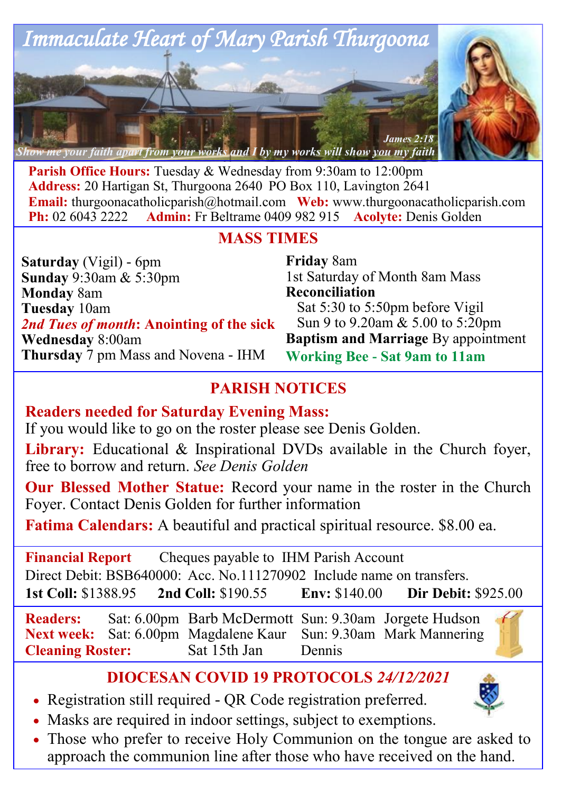

**Parish Office Hours:** Tuesday & Wednesday from 9:30am to 12:00pm **Address:** 20 Hartigan St, Thurgoona 2640 PO Box 110, Lavington 2641 **Email:** thurgoonacatholicparish@hotmail.com Web: www.thurgoonacatholicparish.com<br>**Ph:** 02 6043 2222 **Admin:** Fr Beltrame 0409 982 915 **Acolyte:** Denis Golden Admin: Fr Beltrame 0409 982 915 Acolyte: Denis Golden

### **MASS TIMES**

| <b>Saturday</b> (Vigil) - 6pm              | Friday         |
|--------------------------------------------|----------------|
| <b>Sunday 9:30am &amp; 5:30pm</b>          | 1st Satu       |
| <b>Monday 8am</b>                          | Reconc         |
| Tuesday 10am                               | Sat $5$ :      |
| 2nd Tues of month: Anointing of the sick   | Sun 9          |
| Wednesday 8:00am                           | <b>Baptisn</b> |
| <b>Thursday</b> 7 pm Mass and Novena - IHM | Workin         |

**Friday** 8am rday of Month 8am Mass **Reconciliation**  30 to 5:50pm before Vigil to  $9.20$ am &  $5.00$  to  $5:20$ pm **n and Marriage** By appointment **Working Bee - Sat 9am to 11am**

## **PARISH NOTICES**

### **Readers needed for Saturday Evening Mass:**

If you would like to go on the roster please see Denis Golden.

**Library:** Educational & Inspirational DVDs available in the Church foyer, free to borrow and return. *See Denis Golden* 

**Our Blessed Mother Statue:** Record your name in the roster in the Church Foyer. Contact Denis Golden for further information

**Fatima Calendars:** A beautiful and practical spiritual resource. \$8.00 ea.

**Financial Report** Cheques payable to IHM Parish Account Direct Debit: BSB640000: Acc. No. 111270902 Include name on transfers. **1st Coll:** \$1388.95 **2nd Coll:** \$190.55 **Env:** \$140.00 **Dir Debit:** \$925.00

**Readers:** Sat: 6.00pm Barb McDermott Sun: 9.30am Jorgete Hudson **Next week:** Sat: 6.00pm Magdalene Kaur Sun: 9.30am Mark Mannering<br>Cleaning Roster: Sat 15th Jan Dennis **Cleaning Roster:** Sat 15th Jan Dennis

### **DIOCESAN COVID 19 PROTOCOLS** *24/12/2021*

- Registration still required QR Code registration preferred.
- Masks are required in indoor settings, subject to exemptions.
- Those who prefer to receive Holy Communion on the tongue are asked to approach the communion line after those who have received on the hand.

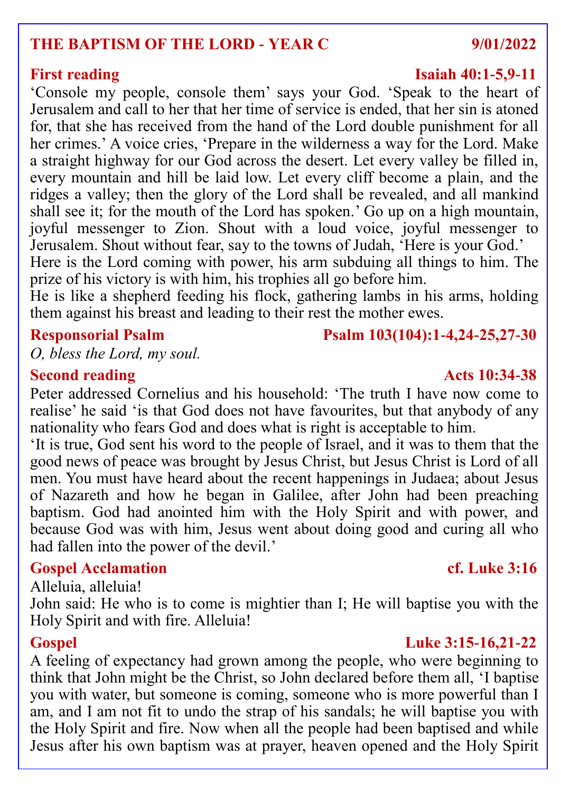### **THE BAPTISM OF THE LORD - YEAR C 9/01/2022**

'Console my people, console them' says your God. 'Speak to the heart of Jerusalem and call to her that her time of service is ended, that her sin is atoned for, that she has received from the hand of the Lord double punishment for all her crimes.' A voice cries, 'Prepare in the wilderness a way for the Lord. Make a straight highway for our God across the desert. Let every valley be filled in, every mountain and hill be laid low. Let every cliff become a plain, and the ridges a valley; then the glory of the Lord shall be revealed, and all mankind shall see it; for the mouth of the Lord has spoken.' Go up on a high mountain, joyful messenger to Zion. Shout with a loud voice, joyful messenger to Jerusalem. Shout without fear, say to the towns of Judah, 'Here is your God.'

Here is the Lord coming with power, his arm subduing all things to him. The prize of his victory is with him, his trophies all go before him.

He is like a shepherd feeding his flock, gathering lambs in his arms, holding them against his breast and leading to their rest the mother ewes.

## **Responsorial Psalm Psalm 103(104):1-4,24-25,27-30**

*O, bless the Lord, my soul.*

Peter addressed Cornelius and his household: 'The truth I have now come to realise' he said 'is that God does not have favourites, but that anybody of any nationality who fears God and does what is right is acceptable to him.

'It is true, God sent his word to the people of Israel, and it was to them that the good news of peace was brought by Jesus Christ, but Jesus Christ is Lord of all men. You must have heard about the recent happenings in Judaea; about Jesus of Nazareth and how he began in Galilee, after John had been preaching baptism. God had anointed him with the Holy Spirit and with power, and because God was with him, Jesus went about doing good and curing all who had fallen into the power of the devil.'

### **Gospel Acclamation cf. Luke 3:16**

Alleluia, alleluia!

John said: He who is to come is mightier than I; He will baptise you with the Holy Spirit and with fire. Alleluia!

A feeling of expectancy had grown among the people, who were beginning to think that John might be the Christ, so John declared before them all, 'I baptise you with water, but someone is coming, someone who is more powerful than I am, and I am not fit to undo the strap of his sandals; he will baptise you with the Holy Spirit and fire. Now when all the people had been baptised and while Jesus after his own baptism was at prayer, heaven opened and the Holy Spirit

### **First reading Isaiah 40:1-5,9-11**

### **Second reading Acts 10:34-38**

### **Gospel Luke 3:15-16,21-22**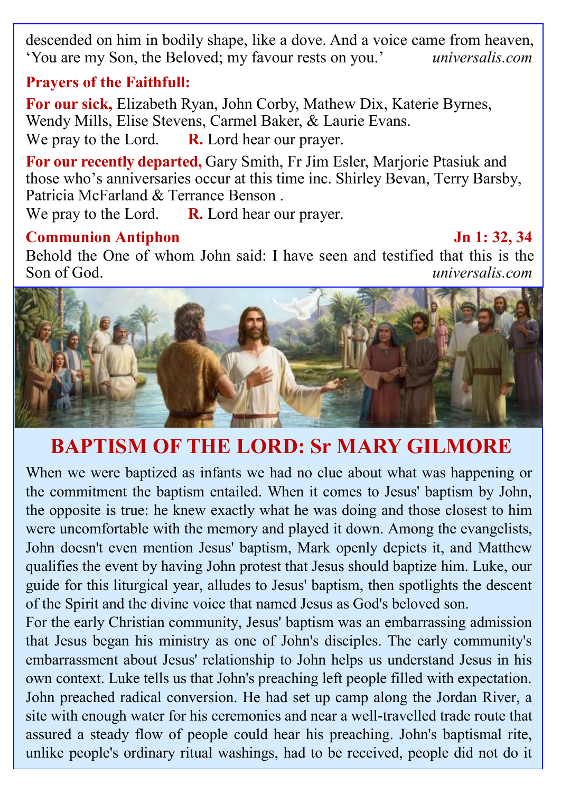descended on him in bodily shape, like a dove. And a voice came from heaven, 'You are my Son, the Beloved; my favour rests on you.' *universalis.com*

### **Prayers of the Faithfull:**

**For our sick,** Elizabeth Ryan, John Corby, Mathew Dix, Katerie Byrnes, Wendy Mills, Elise Stevens, Carmel Baker, & Laurie Evans. We pray to the Lord. **R.** Lord hear our prayer.

**For our recently departed,** Gary Smith, Fr Jim Esler, Marjorie Ptasiuk and those who's anniversaries occur at this time inc. Shirley Bevan, Terry Barsby, Patricia McFarland & Terrance Benson .

We pray to the Lord. **R.** Lord hear our prayer.

### **Communion Antiphon Jn 1: 32, 34**

Behold the One of whom John said: I have seen and testified that this is the Son of God. *universalis.com*



# **BAPTISM OF THE LORD: Sr MARY GILMORE**

When we were baptized as infants we had no clue about what was happening or the commitment the baptism entailed. When it comes to Jesus' baptism by John, the opposite is true: he knew exactly what he was doing and those closest to him were uncomfortable with the memory and played it down. Among the evangelists, John doesn't even mention Jesus' baptism, Mark openly depicts it, and Matthew qualifies the event by having John protest that Jesus should baptize him. Luke, our guide for this liturgical year, alludes to Jesus' baptism, then spotlights the descent of the Spirit and the divine voice that named Jesus as God's beloved son.

For the early Christian community, Jesus' baptism was an embarrassing admission that Jesus began his ministry as one of John's disciples. The early community's embarrassment about Jesus' relationship to John helps us understand Jesus in his own context. Luke tells us that John's preaching left people filled with expectation. John preached radical conversion. He had set up camp along the Jordan River, a site with enough water for his ceremonies and near a well-travelled trade route that assured a steady flow of people could hear his preaching. John's baptismal rite, unlike people's ordinary ritual washings, had to be received, people did not do it